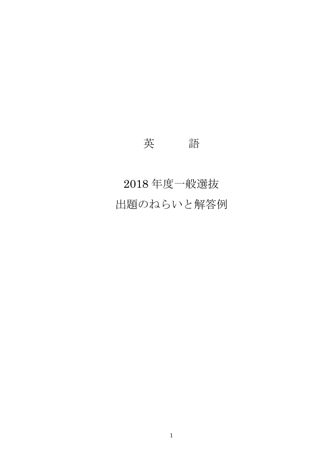## 英 語

# 2018 年度一般選抜 出題のねらいと解答例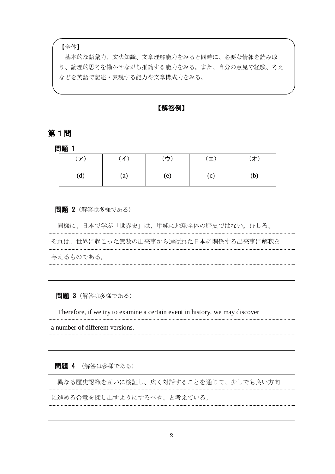#### 【全体】

基本的な語彙力、文法知識、文章理解能力をみると同時に、必要な情報を読み取 り、論理的思考を働かせながら推論する能力をみる。また、自分の意見や経験、考え などを英語で記述・表現する能力や文章構成力をみる。

【解答例】

## 第1問

問題 1

| $(\mathcal{F})$ | (1)               | (ウ) | $(\boldsymbol{\bot})$ | (才) |
|-----------------|-------------------|-----|-----------------------|-----|
| (d)             | $\left( a\right)$ | (e) | (c)                   | (b) |

#### 問題 2(解答は多様である)

同様に、日本で学ぶ「世界史」は、単純に地球全体の歴史ではない。むしろ、 それは、世界に起こった無数の出来事から選ばれた日本に関係する出来事に解釈を 与えるものである。

問題 3(解答は多様である)

Therefore, if we try to examine a certain event in history, we may discover 

a number of different versions.

問題 4 (解答は多様である)

異なる歴史認識を互いに検証し、広く対話することを通じて、少しでも良い方向 

に進める合意を探し出すようにするべき、と考えている。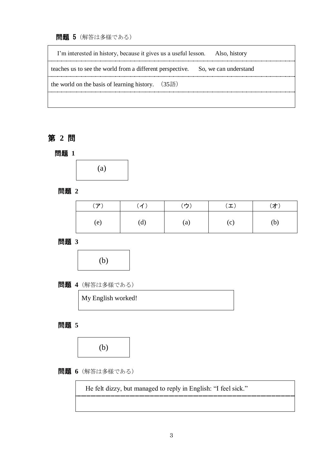問題 5(解答は多様である)

| I'm interested in history, because it gives us a useful lesson.<br>Also, history |
|----------------------------------------------------------------------------------|
| teaches us to see the world from a different perspective. So, we can understand  |
| the world on the basis of learning history. $(35\overline{m})$                   |
|                                                                                  |

## 第 **2** 問

問題 **1**



問題 **2**

| (ア) | (1) | (ウ)               | $(\mathbf{\perp})$ | (才) |
|-----|-----|-------------------|--------------------|-----|
| (e) | (d) | $\left( a\right)$ | (c)                | (b) |

問題 **3**



問題 **4**(解答は多様である)

My English worked!

問題 **5**



問題 **6**(解答は多様である)

He felt dizzy, but managed to reply in English: "I feel sick."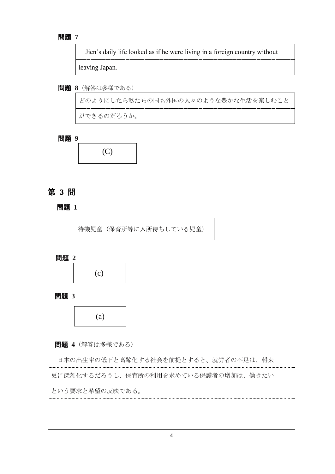#### 問題 **7**

Jien's daily life looked as if he were living in a foreign country without

leaving Japan.

問題 **8**(解答は多様である)

どのようにしたら私たちの国も外国の人々のような豊かな生活を楽しむこと

ができるのだろうか。

問題 **9**



## 第 **3** 問

## 問題 **1**

待機児童(保育所等に入所待ちしている児童)

問題 **2**



問題 **3**



問題 **4**(解答は多様である)

| 日本の出生率の低下と高齢化する社会を前提とすると、就労者の不足は、将来  |
|--------------------------------------|
| 更に深刻化するだろうし、保育所の利用を求めている保護者の増加は、働きたい |
| という要求と希望の反映である。                      |
|                                      |
|                                      |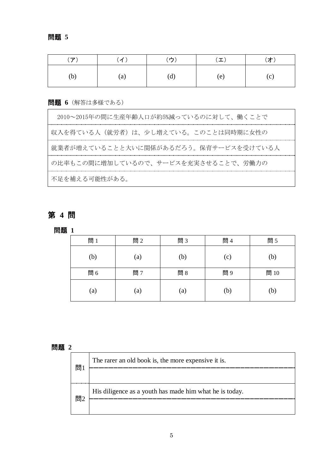| $(\mathcal{F})$ | (1)               | $\left( \stackrel{\rightarrow}{\mathcal{D}}\right)$ | $(\bot)$ | (才) |
|-----------------|-------------------|-----------------------------------------------------|----------|-----|
| (b)             | $\left( a\right)$ | (d)                                                 | (e)      | (c) |

## 問題 **6**(解答は多様である)

| 2010~2015年の間に生産年齢人口が約5%減っているのに対して、働くことで |
|-----------------------------------------|
| 収入を得ている人(就労者)は、少し増えている。このことは同時期に女性の     |
| 就業者が増えていることと大いに関係があるだろう。保育サービスを受けている人   |
| の比率もこの間に増加しているので、サービスを充実させることで、労働力の     |
| 不足を補える可能性がある。                           |

## 第 **4** 問

問題 **1**

| 問1                | 問2  | 問3  | 問4  | 問5  |
|-------------------|-----|-----|-----|-----|
| (b)               | (a) | (b) | (c) | (b) |
| 問6                | 問7  | 問8  | 問9  | 問10 |
| $\left( a\right)$ | (a) | (a) | (b) | (b) |

## 問題 **2**

| 問1 | The rarer an old book is, the more expensive it is.     |
|----|---------------------------------------------------------|
|    |                                                         |
| 問2 | His diligence as a youth has made him what he is today. |
|    |                                                         |